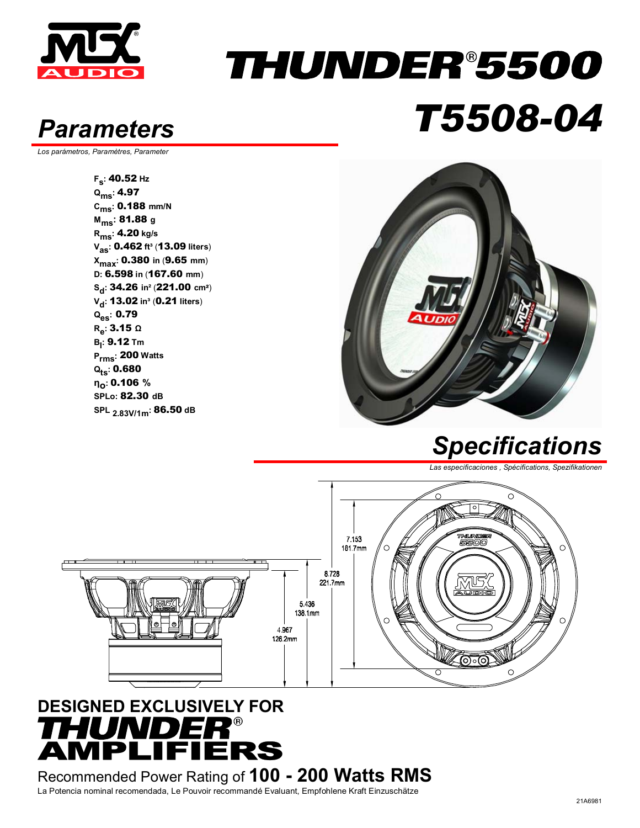

### THUNDER®5500 *Parameters T5508-04*

*Los parámetros, Paramètres, Parameter* 

**Fs:** 40.52 **Hz Qms:** 4.97 **Cms:** 0.188 **mm/N Mms:** 81.88 **<sup>g</sup> Rms:** 4.20 **kg/s Vas:** 0.462 **ft³** (13.09 **liters**) **Xmax:** 0.380 **in** (9.65 **mm**) **D:** 6.598 **in** (167.60 **mm**) **Sd:** 34.26 **in²** (221.00 **cm**²) **V<sub>d</sub>: 13.02 in<sup>3</sup> (0.21 liters) Qes:** 0.79 **Re:** 3.15 **<sup>Ω</sup> Bl :** 9.12 **Tm Prms:** 200 **Watts Qts:** 0.680 **ηο:** 0.106 **% SPLo:** 82.30 **dB SPL 2.83V/1m:** 86.50 **dB**



#### *Specifications*

*Las especificaciones , Spécifications, Spezifikationen* 



#### **DESIGNED EXCLUSIVELY FOR**  HUNDER®<br>MPLIFIERS

Recommended Power Rating of **100 - 200 Watts RMS** La Potencia nominal recomendada, Le Pouvoir recommandé Evaluant, Empfohlene Kraft Einzuschätze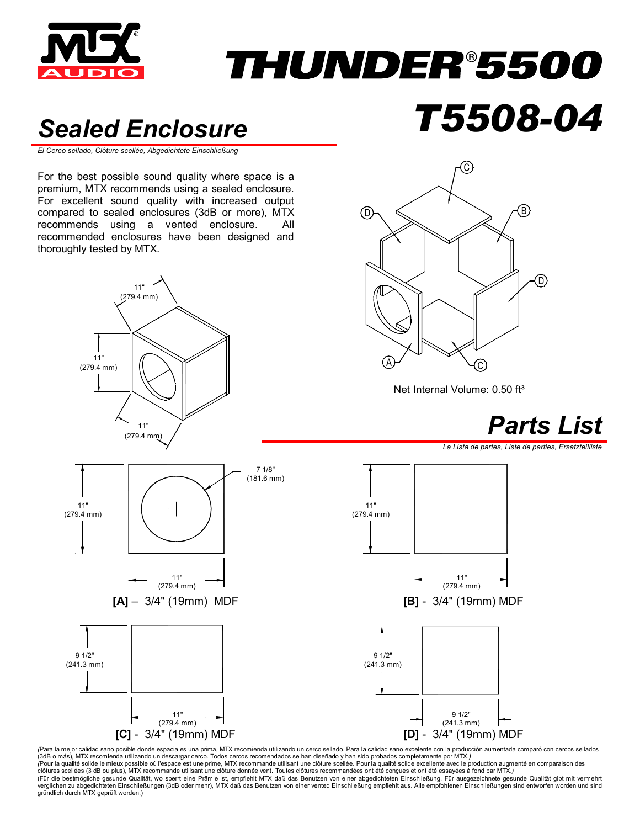

# *THUNDER®5500*

#### *Sealed Enclosure T5508-04*

*El Cerco sellado, Clôture scellée, Abgedichtete Einschließung* 

For the best possible sound quality where space is a premium, MTX recommends using a sealed enclosure. For excellent sound quality with increased output compared to sealed enclosures (3dB or more), MTX recommends using a vented enclosure. All recommended enclosures have been designed and thoroughly tested by MTX.





Net Internal Volume: 0.50 ft<sup>3</sup>



*La Lista de partes, Liste de parties, Ersatzteilliste* 



*(*Para la mejor calidad sano posible donde espacia es una prima, MTX recomienda utilizando un cerco sellado. Para la calidad sano excelente con la producción aumentada comparó con cercos sellados (3dB o más), MTX recomienda utilizando un descargar cerco. Todos cercos recomendados se han diseñado y han sido probados completamente por MTX.*)*  (Pour la qualité solide le mieux possible où l'espace est une prime, MTX recommande utilisant une dôture scellée. Pour la qualité solide excellente avec le production augmenté en comparaison des<br>clôtures scellées (3 dB ou verglichen zu abgedichteten Einschließungen (3dB oder mehr), MTX daß das Benutzen von einer vented Einschließung empfiehlt aus. Alle empfohlenen Einschließungen sind entworfen worden und sind<br>gründlich durch MTX geprüft wo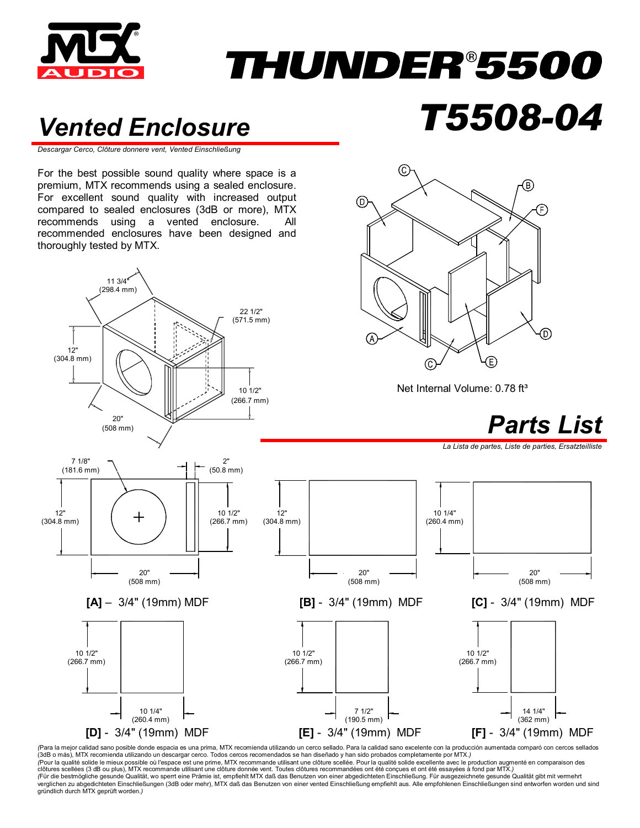

## THUNDER®5500

(C

⊚

#### *Vented Enclosure T5508-04*

*Descargar Cerco, Clôture donnere vent, Vented Einschließung*

For the best possible sound quality where space is a premium, MTX recommends using a sealed enclosure. For excellent sound quality with increased output compared to sealed enclosures (3dB or more), MTX recommends using a vented enclosure. All recommended enclosures have been designed and thoroughly tested by MTX.



*(*Para la mejor calidad sano posible donde espacia es una prima, MTX recomienda utilizando un cerco sellado. Para la calidad sano excelente con la producción aumentada comparó con cercos sellados (3dB o más), MTX recomienda utilizando un descargar cerco. Todos cercos recomendados se han diseñado y han sido probados completamente por MTX.*) (*Pour la qualité solide le mieux possible où l'espace est une prime, MTX recommande utilisant une clôture scellée. Pour la qualité solide excellente avec le production augmenté en comparaison des clôtures scellées (3 dB ou plus), MTX recommande utilisant une clôture donnée vent. Toutes clôtures recommandées ont été conçues et ont été essayées à fond par MTX.)<br>(Für die bestmögliche gesunde Qualität, wo sperrt eine P verglichen zu abgedichteten Einschließungen (3dB oder mehr), MTX daß das Benutzen von einer vented Einschließung empfiehlt aus. Alle empfohlenen Einschließungen sind entworfen worden und sind gründlich durch MTX geprüft worden.*)*